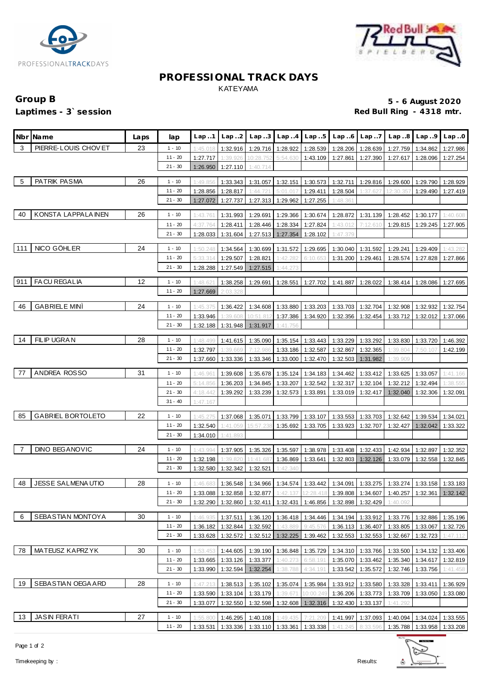



### **PROFESSIONAL TRACK DAYS** KATEYAMA

## Group B **5 - 6 August 2020**<br>
Laptimes - 3`session **1999 in the set of the set of the set of the set of the set of the set of the set of the s**<br>
Red Bull Ring - 4318 mtr. Red Bull Ring - 4318 mtr.

|     | Nbr Name                 | Laps | lap                   | Lap.1                | Lap.2                |                       | Lap. $3$ Lap. $4$ Lap. $5$ |                      | Lap.6                | Lap.7                |                                                                                                                                           | $Lap.8$ $Lap.9$      | Lap.0                |
|-----|--------------------------|------|-----------------------|----------------------|----------------------|-----------------------|----------------------------|----------------------|----------------------|----------------------|-------------------------------------------------------------------------------------------------------------------------------------------|----------------------|----------------------|
| 3   | PIERRE-LOUIS CHOVET      | 23   | $1 - 10$              | 1:45.018             | 1:32.916             |                       | 1:29.716 1:28.922          | 1:28.539             | 1:28.206             | 1:28.639             | 1:27.759                                                                                                                                  | 1:34.862             | 1:27.986             |
|     |                          |      | $11 - 20$             | 1:27.717             | 1:39.926             | 10:28.752             | 5:54.630                   | 1:43.109             | 1:27.861             | 1:27.390             | 1:27.617                                                                                                                                  | 1:28.096             | 1:27.254             |
|     |                          |      | $21 - 30$             | 1:26.950             | 1:27.110             | 1:40.714              |                            |                      |                      |                      |                                                                                                                                           |                      |                      |
| 5   | PATRIK PASMA             | 26   | $1 - 10$              | 1:49.856             | 1:33.343             | 1:31.057              |                            | 1:32.151 1:30.573    | 1:32.711             | 1:29.816             | 1:29.600                                                                                                                                  | 1:29.790             | 1:28.929             |
|     |                          |      | $11 - 20$             | 1:28.856             | 1:28.817             | 1:44.721              | 5:01.017                   | 1:29.411             | 1:28.504             | 1:37.627             | 12:30.357                                                                                                                                 | 1:29.490             | 1:27.419             |
|     |                          |      | $21 - 30$             | 1:27.072             | 1:27.737             |                       | 1:27.313 1:29.962          | 1:27.255             | 1:48.361             |                      |                                                                                                                                           |                      |                      |
| 40  | KONSTA LAPPALA INEN      | 26   | $1 - 10$              | 1:43.761             | 1:31.993             | 1:29.691              |                            | 1:29.366 1:30.674    | 1:28.872             | 1:31.139             | 1:28.452                                                                                                                                  | 1:30.177             | 1:40.608             |
|     |                          |      | $11 - 20$             | 4:37.764             | 1:28.411             | 1:28.446              | 1:28.334                   | 1:27.824             | 1:43.012             | 7:12.610             | 1:29.815                                                                                                                                  | 1:29.245             | 1:27.905             |
|     |                          |      | $21 - 30$             | 1:28.033             | 1:31.604             |                       | 1:27.513 1:27.354          | 1:28.102             | 1:47.379             |                      |                                                                                                                                           |                      |                      |
|     |                          |      |                       |                      |                      |                       |                            |                      |                      |                      |                                                                                                                                           |                      |                      |
| 111 | NICO GÖHLER              | 24   | $1 - 10$              | 1:50.248             | 1:34.564             | 1:30.699              | 1:31.572                   | 1:29.695             | 1:30.040             | 1:31.592             | 1:29.241                                                                                                                                  | 1:29.409             | 1:43.282             |
|     |                          |      | $11 - 20$             | 5:33.314             | 1:29.507             | 1:28.821              | 1:42.282                   | 6:10.653             | 1:31.200             | 1:29.461             | 1:28.574                                                                                                                                  | 1:27.828             | 1:27.866             |
|     |                          |      | $21 - 30$             | 1:28.288             | 1:27.549             | 1:27.515              | 1:44.273                   |                      |                      |                      |                                                                                                                                           |                      |                      |
|     | 911   FA CU REGALIA      | 12   | $1 - 10$              | 1:48.621             | 1:38.258             | 1:29.691              | 1:28.551                   | 1:27.702             | 1:41.887             | 1:28.022             | 1:38.414                                                                                                                                  | 1:28.086             | 1:27.695             |
|     |                          |      | $11 - 20$             | 1:27.669             | 2:03.328             |                       |                            |                      |                      |                      |                                                                                                                                           |                      |                      |
| 46  | <b>GABRIELE MINI</b>     | 24   | $1 - 10$              | 1:45.375             | 1:36.422             | 1:34.608              | 1:33.880                   | 1:33.203             | 1:33.703             | 1:32.704             | 1:32.908                                                                                                                                  | 1:32.932             | 1:32.754             |
|     |                          |      | $11 - 20$             | 1:33.946             | 1:39.608             | 10:51.812             |                            | 1:37.386 1:34.920    | 1:32.356             | 1:32.454             | 1:33.712                                                                                                                                  | 1:32.012             | 1:37.066             |
|     |                          |      | $21 - 30$             | 1:32.188             | 1:31.948             | 1:31.917              | 1:41.756                   |                      |                      |                      |                                                                                                                                           |                      |                      |
|     |                          |      |                       |                      |                      |                       |                            |                      |                      |                      |                                                                                                                                           |                      |                      |
| 14  | FILIP UGRAN              | 28   | $1 - 10$              | 1:48.499             | 1:41.615             | 1:35.090              | 1:35.154                   | 1:33.443             | 1:33.229             | 1:33.292             | 1:33.830                                                                                                                                  | 1:33.720             | 1:46.392             |
|     |                          |      | $11 - 20$             | 1:32.797             | 1:39.669             | 7:12.986              | 1:33.186                   | 1:32.587             | 1:32.867             | 1:32.365             | 1:39.804                                                                                                                                  | 7:50.107             | 1:42.199             |
|     |                          |      | $21 - 30$             | 1:37.660             | 1:33.336             | 1:33.346              | 1:33.000                   | 1:32.470             |                      | 1:32.503 1:31.982    | 1:39.909                                                                                                                                  |                      |                      |
| 77  | ANDREA ROSSO             | 31   | $1 - 10$              | 1:46.961             | 1:39.608             | 1:35.678              | 1:35.124                   | 1:34.183             | 1:34.462             | 1:33.412             | 1:33.625                                                                                                                                  | 1:33.057             | 1:41.166             |
|     |                          |      | $11 - 20$             | 5:14.856             | 1:36.203             | 1:34.845              | 1:33.207                   | 1:32.542             | 1:32.317             | 1:32.104             | 1:32.212                                                                                                                                  | 1:32.494             | 1:38.555             |
|     |                          |      | $21 - 30$             | 4:18.442             | 1:39.292             | 1:33.239              | 1:32.573                   | 1:33.891             | 1:33.019             | 1:32.417             | 1:32.040                                                                                                                                  | 1:32.306             | 1:32.091             |
|     |                          |      | $31 - 40$             | 1:47.167             |                      |                       |                            |                      |                      |                      |                                                                                                                                           |                      |                      |
| 85  | <b>GABRIEL BORTOLETO</b> | 22   | $1 - 10$              | 1:45.275             | 1:37.068             | 1:35.071              |                            | 1:33.799 1:33.107    | 1:33.553             | 1:33.703             | 1:32.642                                                                                                                                  | 1:39.534             | 1:34.021             |
|     |                          |      | $11 - 20$             | 1:32.540             | 1:41.059             | 15:57.238             |                            | 1:35.692 1:33.705    | 1:33.923             | 1:32.707             | 1:32.427                                                                                                                                  | 1:32.042             | 1:33.322             |
|     |                          |      | $21 - 30$             | 1:34.010             | 1:41.893             |                       |                            |                      |                      |                      |                                                                                                                                           |                      |                      |
|     |                          |      |                       |                      |                      |                       |                            |                      |                      |                      |                                                                                                                                           |                      |                      |
| 7   | <b>DINO BEGANOVIC</b>    | 24   | $1 - 10$<br>$11 - 20$ | 1:43.994             | 1:37.905             | 1:35.326              |                            | 1:35.597 1:38.978    | 1:33.408             | 1:32.433             | 1:42.934                                                                                                                                  | 1:32.897             | 1:32.352             |
|     |                          |      | $21 - 30$             | 1:32.198<br>1:32.580 | 1:39.820<br>1:32.342 | 11:41.687<br>1:32.521 | 1:42.340                   | 1:36.869 1:33.641    |                      | 1:32.803   1:32.126  | 1:33.079                                                                                                                                  | 1:32.558             | 1:32.845             |
|     |                          |      |                       |                      |                      |                       |                            |                      |                      |                      |                                                                                                                                           |                      |                      |
| 48  | <b>JESSE SALMENAUTIO</b> | 28   | $1 - 10$              | 1:46.683             | 1:36.548             |                       |                            |                      |                      |                      | 1:34.966   1:34.574   1:33.442   1:34.091   1:33.275   1:33.274   1:33.158   1:33.183                                                     |                      |                      |
|     |                          |      | $11 - 20$             |                      |                      |                       |                            |                      |                      |                      | $1:33.088 \mid 1:32.858 \mid 1:32.877 \mid 1:42.137 \mid 12:28.418 \mid 1:39.808 \mid 1:34.607 \mid 1:40.257 \mid 1:32.361 \mid 1:32.142$ |                      |                      |
|     |                          |      | $21 - 30$             | 1:32.290             | 1:32.860             | 1:32.411              | 1:32.431                   | 1:46.856             | 1:32.898             | 1:32.429             | 1:40.092                                                                                                                                  |                      |                      |
| 6   | SEBASTIAN MONTOYA        | 30   | $1 - 10$              | 1:46.935             | 1:37.511             | 1:36.120              | 1:36.418                   | 1:34.446             | 1:34.194             | 1:33.912             | 1:33.776                                                                                                                                  | 1:32.886             | 1:35.196             |
|     |                          |      | $11 - 20$             | 1:36.182             | 1:32.844             | 1:32.592              | 1:43.889                   | 9:45.576             | 1:36.113             | 1:36.407             | 1:33.805                                                                                                                                  | 1:33.067             | 1:32.726             |
|     |                          |      | $21 - 30$             | 1:33.628             | 1:32.572             | 1:32.512              | 1:32.225                   | 1:39.462             | 1:32.553             | 1:32.553             | 1:32.667                                                                                                                                  | 1:32.723             | 1:47.112             |
|     |                          |      |                       |                      |                      |                       |                            |                      |                      |                      |                                                                                                                                           |                      |                      |
| 78  | MATEUSZ KAPRZYK          | 30   | $1 - 10$              | 1:53.453             | 1:44.605             | 1:39.190              | 1:36.848                   | 1:35.729             | 1:34.310             | 1:33.766             | 1:33.500                                                                                                                                  | 1:34.132             | 1:33.406             |
|     |                          |      | 11 - 20<br>$21 - 30$  | 1:33.665<br>1:33.990 | 1:33.126<br>1:32.594 | 1:33.377<br>1:32.254  | 1:40.273<br>1:38.788       | 6:58.191<br>4:34.191 | 1:35.070<br>1:33.542 | 1:33.462<br>1:35.572 | 1:35.340<br>1:32.746                                                                                                                      | 1:34.617<br>1:33.756 | 1:32.819<br>1:41.458 |
|     |                          |      |                       |                      |                      |                       |                            |                      |                      |                      |                                                                                                                                           |                      |                      |
| 19  | SEBASTIAN OEGA ARD       | 28   | $1 - 10$              | 1:47.213             | 1:38.513             | 1:35.102              | 1:35.074                   | 1:35.984             |                      | 1:33.912 1:33.580    | 1:33.328                                                                                                                                  | 1:33.411             | 1:36.929             |
|     |                          |      | 11 - 20               | 1:33.590             | 1:33.104             | 1:33.179              | 1:39.671                   | 10:00.249            | 1:36.206             | 1:33.773             | 1:33.709                                                                                                                                  | 1:33.050             | 1:33.080             |
|     |                          |      | $21 - 30$             | 1:33.077             | 1:32.550             | 1:32.598              | 1:32.608                   | 1:32.316             | 1:32.430             | 1:33.137             | 1:41.292                                                                                                                                  |                      |                      |
| 13  | <b>JASIN FERATI</b>      | 27   | $1 - 10$              | 1:55.800             | 1:46.295             | 1:40.108              | 1:49.435                   | 7:21.209             | 1:41.997             | 1:37.093             | 1:40.094                                                                                                                                  | 1:34.024             | 1:33.555             |
|     |                          |      | $11 - 20$             | 1:33.531             | 1:33.336             |                       | 1:33.110 1:33.361 1:33.338 |                      | 1:41.245             | 8:33.596             | 1:35.788                                                                                                                                  | 1:33.958             | 1:33.208             |